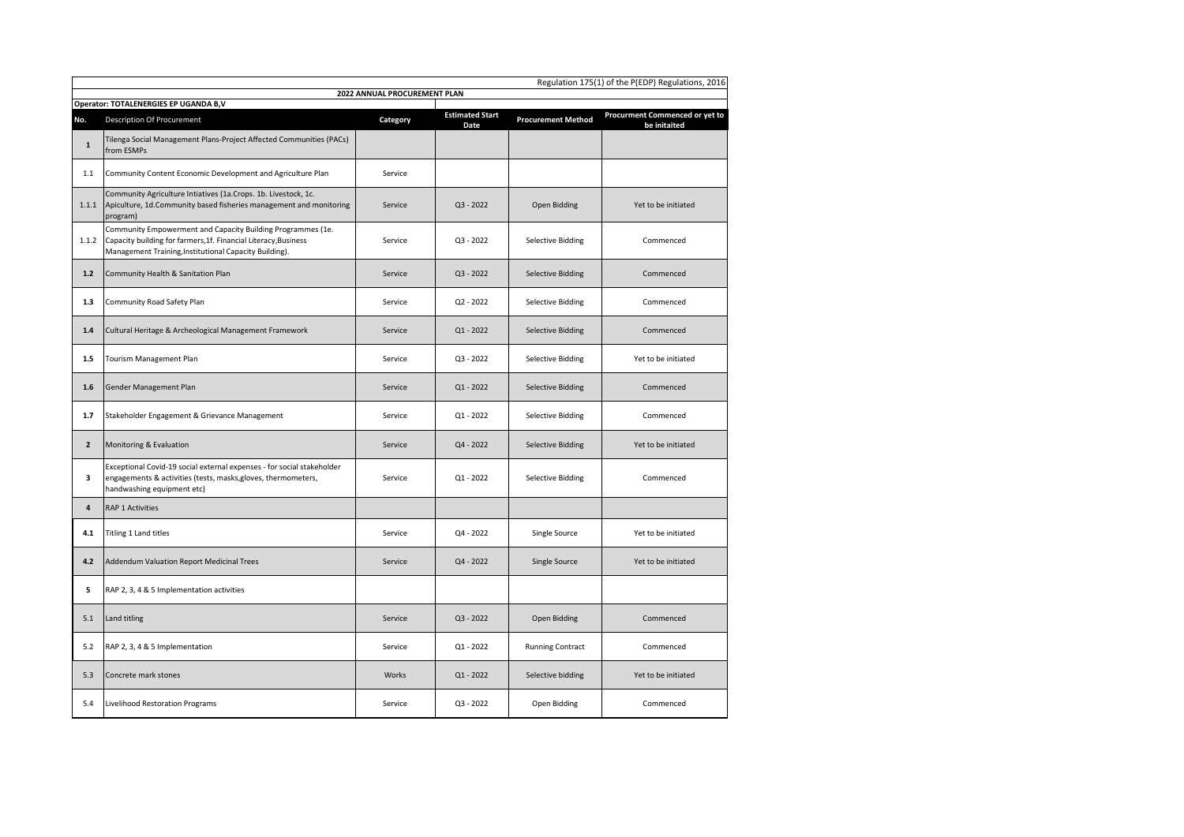|                | Regulation 175(1) of the P(EDP) Regulations, 2016<br>2022 ANNUAL PROCUREMENT PLAN                                                                                                        |          |                                |                           |                                                |  |  |  |
|----------------|------------------------------------------------------------------------------------------------------------------------------------------------------------------------------------------|----------|--------------------------------|---------------------------|------------------------------------------------|--|--|--|
|                | Operator: TOTALENERGIES EP UGANDA B,V                                                                                                                                                    |          |                                |                           |                                                |  |  |  |
| No.            | <b>Description Of Procurement</b>                                                                                                                                                        | Category | <b>Estimated Start</b><br>Date | <b>Procurement Method</b> | Procurment Commenced or yet to<br>be initaited |  |  |  |
| $\mathbf 1$    | Tilenga Social Management Plans-Project Affected Communities (PACs)<br>from ESMPs                                                                                                        |          |                                |                           |                                                |  |  |  |
| 1.1            | Community Content Economic Development and Agriculture Plan                                                                                                                              | Service  |                                |                           |                                                |  |  |  |
| 1.1.1          | Community Agriculture Intiatives (1a.Crops. 1b. Livestock, 1c.<br>Apiculture, 1d.Community based fisheries management and monitoring<br>program)                                         | Service  | $Q3 - 2022$                    | Open Bidding              | Yet to be initiated                            |  |  |  |
| 1.1.2          | Community Empowerment and Capacity Building Programmes (1e.<br>Capacity building for farmers, 1f. Financial Literacy, Business<br>Management Training, Institutional Capacity Building). | Service  | $Q3 - 2022$                    | <b>Selective Bidding</b>  | Commenced                                      |  |  |  |
| $1.2$          | Community Health & Sanitation Plan                                                                                                                                                       | Service  | $Q3 - 2022$                    | <b>Selective Bidding</b>  | Commenced                                      |  |  |  |
| 1.3            | Community Road Safety Plan                                                                                                                                                               | Service  | $Q2 - 2022$                    | <b>Selective Bidding</b>  | Commenced                                      |  |  |  |
| 1.4            | Cultural Heritage & Archeological Management Framework                                                                                                                                   | Service  | $Q1 - 2022$                    | <b>Selective Bidding</b>  | Commenced                                      |  |  |  |
| 1.5            | Tourism Management Plan                                                                                                                                                                  | Service  | $Q3 - 2022$                    | <b>Selective Bidding</b>  | Yet to be initiated                            |  |  |  |
| 1.6            | Gender Management Plan                                                                                                                                                                   | Service  | $Q1 - 2022$                    | <b>Selective Bidding</b>  | Commenced                                      |  |  |  |
| 1.7            | Stakeholder Engagement & Grievance Management                                                                                                                                            | Service  | $Q1 - 2022$                    | <b>Selective Bidding</b>  | Commenced                                      |  |  |  |
| $\overline{2}$ | Monitoring & Evaluation                                                                                                                                                                  | Service  | $Q4 - 2022$                    | <b>Selective Bidding</b>  | Yet to be initiated                            |  |  |  |
| 3              | Exceptional Covid-19 social external expenses - for social stakeholder<br>engagements & activities (tests, masks, gloves, thermometers,<br>handwashing equipment etc)                    | Service  | Q1 - 2022                      | <b>Selective Bidding</b>  | Commenced                                      |  |  |  |
| 4              | <b>RAP 1 Activities</b>                                                                                                                                                                  |          |                                |                           |                                                |  |  |  |
| 4.1            | Titling 1 Land titles                                                                                                                                                                    | Service  | Q4 - 2022                      | Single Source             | Yet to be initiated                            |  |  |  |
| 4.2            | Addendum Valuation Report Medicinal Trees                                                                                                                                                | Service  | Q4 - 2022                      | Single Source             | Yet to be initiated                            |  |  |  |
| 5              | RAP 2, 3, 4 & 5 Implementation activities                                                                                                                                                |          |                                |                           |                                                |  |  |  |
| 5.1            | Land titling                                                                                                                                                                             | Service  | $Q3 - 2022$                    | Open Bidding              | Commenced                                      |  |  |  |
| 5.2            | RAP 2, 3, 4 & 5 Implementation                                                                                                                                                           | Service  | $Q1 - 2022$                    | <b>Running Contract</b>   | Commenced                                      |  |  |  |
| 5.3            | Concrete mark stones                                                                                                                                                                     | Works    | $Q1 - 2022$                    | Selective bidding         | Yet to be initiated                            |  |  |  |
| 5.4            | Livelihood Restoration Programs                                                                                                                                                          | Service  | $Q3 - 2022$                    | Open Bidding              | Commenced                                      |  |  |  |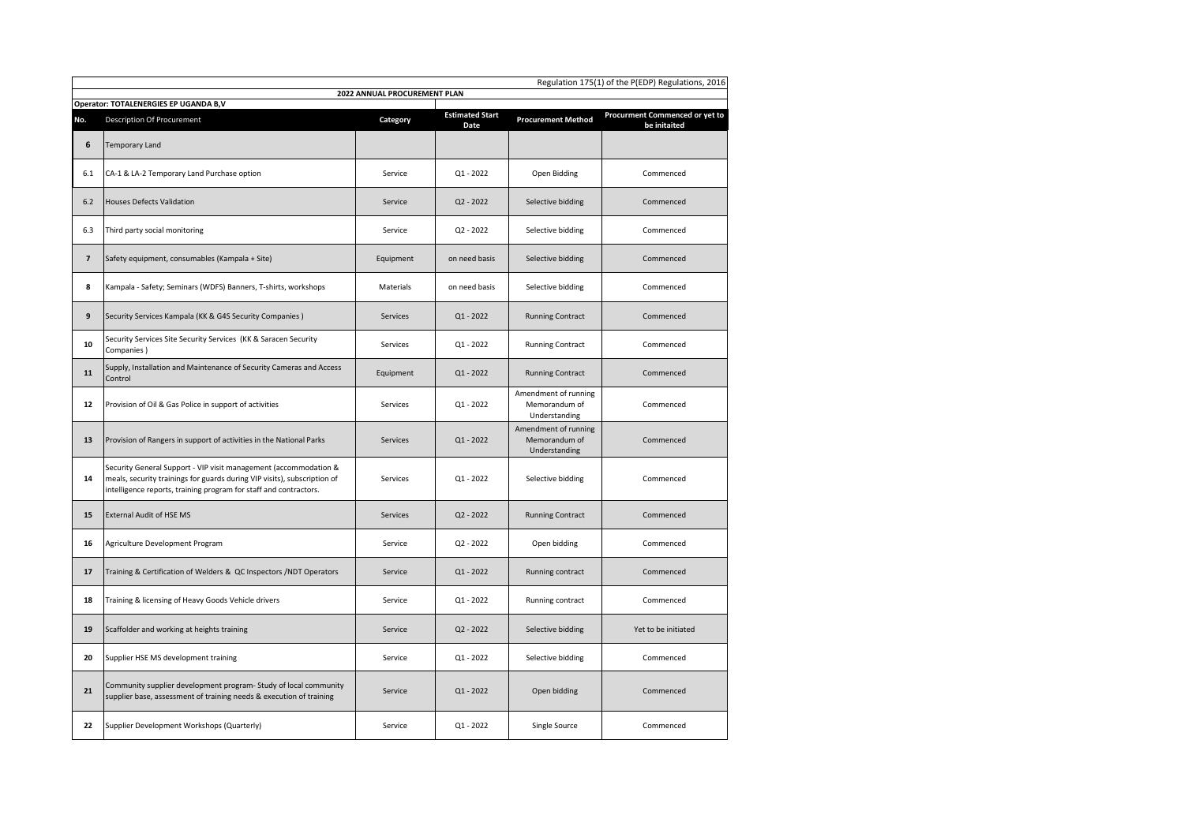|                          | Regulation 175(1) of the P(EDP) Regulations, 2016                                                                                                                                                                 |           |                                |                                                        |                                                |  |  |  |
|--------------------------|-------------------------------------------------------------------------------------------------------------------------------------------------------------------------------------------------------------------|-----------|--------------------------------|--------------------------------------------------------|------------------------------------------------|--|--|--|
|                          | 2022 ANNUAL PROCUREMENT PLAN<br>Operator: TOTALENERGIES EP UGANDA B,V                                                                                                                                             |           |                                |                                                        |                                                |  |  |  |
| No.                      | <b>Description Of Procurement</b>                                                                                                                                                                                 | Category  | <b>Estimated Start</b><br>Date | <b>Procurement Method</b>                              | Procurment Commenced or yet to<br>be initaited |  |  |  |
| 6                        | Temporary Land                                                                                                                                                                                                    |           |                                |                                                        |                                                |  |  |  |
| 6.1                      | CA-1 & LA-2 Temporary Land Purchase option                                                                                                                                                                        | Service   | Q1 - 2022                      | Open Bidding                                           | Commenced                                      |  |  |  |
| $6.2$                    | <b>Houses Defects Validation</b>                                                                                                                                                                                  | Service   | $Q2 - 2022$                    | Selective bidding                                      | Commenced                                      |  |  |  |
| 6.3                      | Third party social monitoring                                                                                                                                                                                     | Service   | Q2 - 2022                      | Selective bidding                                      | Commenced                                      |  |  |  |
| $\overline{\phantom{a}}$ | Safety equipment, consumables (Kampala + Site)                                                                                                                                                                    | Equipment | on need basis                  | Selective bidding                                      | Commenced                                      |  |  |  |
| 8                        | Kampala - Safety; Seminars (WDFS) Banners, T-shirts, workshops                                                                                                                                                    | Materials | on need basis                  | Selective bidding                                      | Commenced                                      |  |  |  |
| 9                        | Security Services Kampala (KK & G4S Security Companies)                                                                                                                                                           | Services  | $Q1 - 2022$                    | <b>Running Contract</b>                                | Commenced                                      |  |  |  |
| 10                       | Security Services Site Security Services (KK & Saracen Security<br>Companies)                                                                                                                                     | Services  | $Q1 - 2022$                    | <b>Running Contract</b>                                | Commenced                                      |  |  |  |
| 11                       | Supply, Installation and Maintenance of Security Cameras and Access<br>Control                                                                                                                                    | Equipment | $Q1 - 2022$                    | <b>Running Contract</b>                                | Commenced                                      |  |  |  |
| 12                       | Provision of Oil & Gas Police in support of activities                                                                                                                                                            | Services  | $Q1 - 2022$                    | Amendment of running<br>Memorandum of<br>Understanding | Commenced                                      |  |  |  |
| 13                       | Provision of Rangers in support of activities in the National Parks                                                                                                                                               | Services  | $Q1 - 2022$                    | Amendment of running<br>Memorandum of<br>Understanding | Commenced                                      |  |  |  |
| 14                       | Security General Support - VIP visit management (accommodation &<br>meals, security trainings for guards during VIP visits), subscription of<br>intelligence reports, training program for staff and contractors. | Services  | $Q1 - 2022$                    | Selective bidding                                      | Commenced                                      |  |  |  |
| 15                       | <b>External Audit of HSE MS</b>                                                                                                                                                                                   | Services  | $Q2 - 2022$                    | <b>Running Contract</b>                                | Commenced                                      |  |  |  |
| 16                       | Agriculture Development Program                                                                                                                                                                                   | Service   | $Q2 - 2022$                    | Open bidding                                           | Commenced                                      |  |  |  |
| 17                       | Training & Certification of Welders & QC Inspectors /NDT Operators                                                                                                                                                | Service   | $Q1 - 2022$                    | Running contract                                       | Commenced                                      |  |  |  |
| 18                       | Training & licensing of Heavy Goods Vehicle drivers                                                                                                                                                               | Service   | Q1 - 2022                      | Running contract                                       | Commenced                                      |  |  |  |
| 19                       | Scaffolder and working at heights training                                                                                                                                                                        | Service   | $Q2 - 2022$                    | Selective bidding                                      | Yet to be initiated                            |  |  |  |
| 20                       | Supplier HSE MS development training                                                                                                                                                                              | Service   | $Q1 - 2022$                    | Selective bidding                                      | Commenced                                      |  |  |  |
| 21                       | Community supplier development program- Study of local community<br>supplier base, assessment of training needs & execution of training                                                                           | Service   | $Q1 - 2022$                    | Open bidding                                           | Commenced                                      |  |  |  |
| 22                       | Supplier Development Workshops (Quarterly)                                                                                                                                                                        | Service   | Q1 - 2022                      | Single Source                                          | Commenced                                      |  |  |  |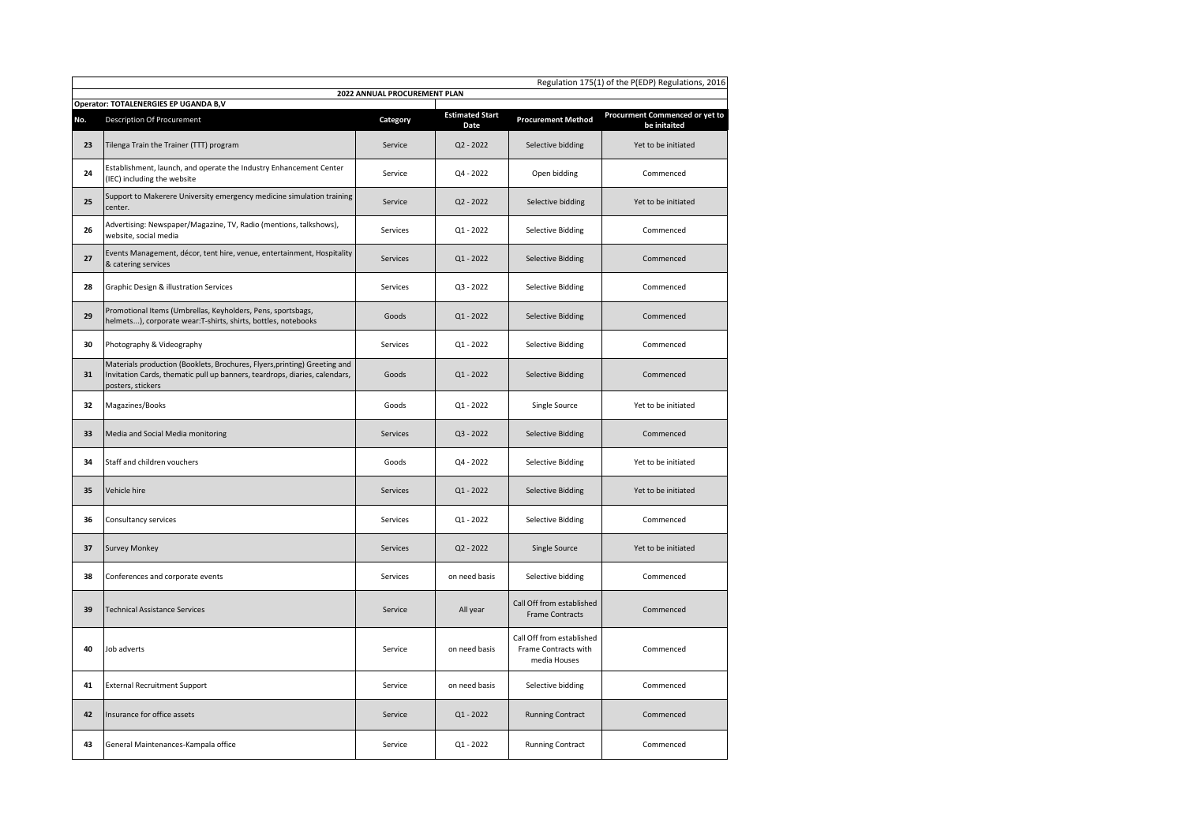|     | Regulation 175(1) of the P(EDP) Regulations, 2016<br>2022 ANNUAL PROCUREMENT PLAN                                                                                            |                 |                                |                                                                   |                                                |  |  |  |
|-----|------------------------------------------------------------------------------------------------------------------------------------------------------------------------------|-----------------|--------------------------------|-------------------------------------------------------------------|------------------------------------------------|--|--|--|
|     | Operator: TOTALENERGIES EP UGANDA B,V                                                                                                                                        |                 |                                |                                                                   |                                                |  |  |  |
| No. | <b>Description Of Procurement</b>                                                                                                                                            | Category        | <b>Estimated Start</b><br>Date | <b>Procurement Method</b>                                         | Procurment Commenced or yet to<br>be initaited |  |  |  |
| 23  | Tilenga Train the Trainer (TTT) program                                                                                                                                      | Service         | $Q2 - 2022$                    | Selective bidding                                                 | Yet to be initiated                            |  |  |  |
| 24  | Establishment, launch, and operate the Industry Enhancement Center<br>(IEC) including the website                                                                            | Service         | Q4 - 2022                      | Open bidding                                                      | Commenced                                      |  |  |  |
| 25  | Support to Makerere University emergency medicine simulation training<br>center.                                                                                             | Service         | $Q2 - 2022$                    | Selective bidding                                                 | Yet to be initiated                            |  |  |  |
| 26  | Advertising: Newspaper/Magazine, TV, Radio (mentions, talkshows),<br>website, social media                                                                                   | Services        | $Q1 - 2022$                    | <b>Selective Bidding</b>                                          | Commenced                                      |  |  |  |
| 27  | Events Management, décor, tent hire, venue, entertainment, Hospitality<br>& catering services                                                                                | Services        | $Q1 - 2022$                    | <b>Selective Bidding</b>                                          | Commenced                                      |  |  |  |
| 28  | Graphic Design & illustration Services                                                                                                                                       | Services        | $Q3 - 2022$                    | <b>Selective Bidding</b>                                          | Commenced                                      |  |  |  |
| 29  | Promotional Items (Umbrellas, Keyholders, Pens, sportsbags,<br>helmets), corporate wear:T-shirts, shirts, bottles, notebooks                                                 | Goods           | Q1 - 2022                      | <b>Selective Bidding</b>                                          | Commenced                                      |  |  |  |
| 30  | Photography & Videography                                                                                                                                                    | Services        | $Q1 - 2022$                    | <b>Selective Bidding</b>                                          | Commenced                                      |  |  |  |
| 31  | Materials production (Booklets, Brochures, Flyers, printing) Greeting and<br>Invitation Cards, thematic pull up banners, teardrops, diaries, calendars,<br>posters, stickers | Goods           | $Q1 - 2022$                    | <b>Selective Bidding</b>                                          | Commenced                                      |  |  |  |
| 32  | Magazines/Books                                                                                                                                                              | Goods           | $Q1 - 2022$                    | Single Source                                                     | Yet to be initiated                            |  |  |  |
| 33  | Media and Social Media monitoring                                                                                                                                            | Services        | Q3 - 2022                      | <b>Selective Bidding</b>                                          | Commenced                                      |  |  |  |
| 34  | Staff and children vouchers                                                                                                                                                  | Goods           | Q4 - 2022                      | Selective Bidding                                                 | Yet to be initiated                            |  |  |  |
| 35  | Vehicle hire                                                                                                                                                                 | <b>Services</b> | $Q1 - 2022$                    | <b>Selective Bidding</b>                                          | Yet to be initiated                            |  |  |  |
| 36  | Consultancy services                                                                                                                                                         | Services        | Q1 - 2022                      | <b>Selective Bidding</b>                                          | Commenced                                      |  |  |  |
| 37  | <b>Survey Monkey</b>                                                                                                                                                         | Services        | $Q2 - 2022$                    | Single Source                                                     | Yet to be initiated                            |  |  |  |
| 38  | Conferences and corporate events                                                                                                                                             | Services        | on need basis                  | Selective bidding                                                 | Commenced                                      |  |  |  |
| 39  | <b>Technical Assistance Services</b>                                                                                                                                         | Service         | All year                       | Call Off from established<br><b>Frame Contracts</b>               | Commenced                                      |  |  |  |
| 40  | Job adverts                                                                                                                                                                  | Service         | on need basis                  | Call Off from established<br>Frame Contracts with<br>media Houses | Commenced                                      |  |  |  |
| 41  | <b>External Recruitment Support</b>                                                                                                                                          | Service         | on need basis                  | Selective bidding                                                 | Commenced                                      |  |  |  |
| 42  | Insurance for office assets                                                                                                                                                  | Service         | $Q1 - 2022$                    | <b>Running Contract</b>                                           | Commenced                                      |  |  |  |
| 43  | General Maintenances-Kampala office                                                                                                                                          | Service         | $Q1 - 2022$                    | <b>Running Contract</b>                                           | Commenced                                      |  |  |  |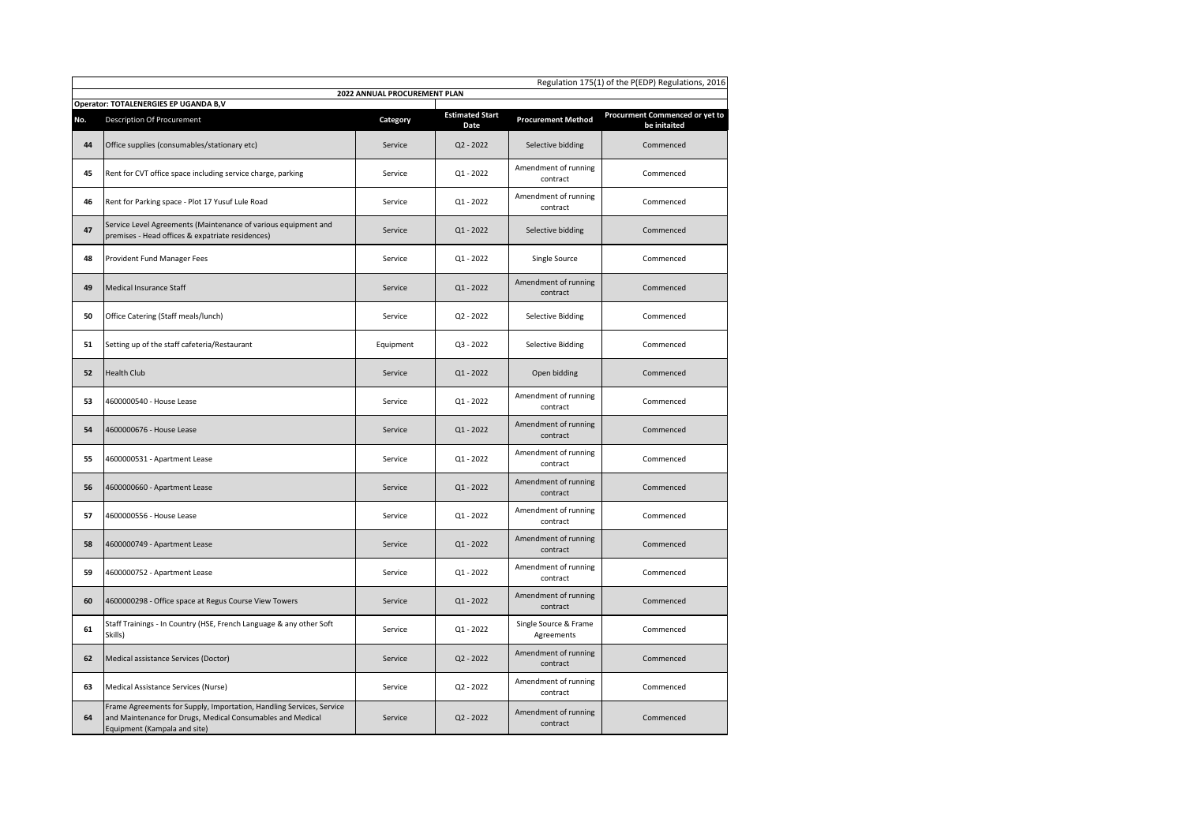|     | Regulation 175(1) of the P(EDP) Regulations, 2016                                                                                                                  |           |                                |                                     |                                                |  |  |  |
|-----|--------------------------------------------------------------------------------------------------------------------------------------------------------------------|-----------|--------------------------------|-------------------------------------|------------------------------------------------|--|--|--|
|     | 2022 ANNUAL PROCUREMENT PLAN<br>Operator: TOTALENERGIES EP UGANDA B,V                                                                                              |           |                                |                                     |                                                |  |  |  |
| No. | <b>Description Of Procurement</b>                                                                                                                                  | Category  | <b>Estimated Start</b><br>Date | <b>Procurement Method</b>           | Procurment Commenced or yet to<br>be initaited |  |  |  |
| 44  | Office supplies (consumables/stationary etc)                                                                                                                       | Service   | $Q2 - 2022$                    | Selective bidding                   | Commenced                                      |  |  |  |
| 45  | Rent for CVT office space including service charge, parking                                                                                                        | Service   | $Q1 - 2022$                    | Amendment of running<br>contract    | Commenced                                      |  |  |  |
| 46  | Rent for Parking space - Plot 17 Yusuf Lule Road                                                                                                                   | Service   | $Q1 - 2022$                    | Amendment of running<br>contract    | Commenced                                      |  |  |  |
| 47  | Service Level Agreements (Maintenance of various equipment and<br>premises - Head offices & expatriate residences)                                                 | Service   | $Q1 - 2022$                    | Selective bidding                   | Commenced                                      |  |  |  |
| 48  | Provident Fund Manager Fees                                                                                                                                        | Service   | $Q1 - 2022$                    | Single Source                       | Commenced                                      |  |  |  |
| 49  | Medical Insurance Staff                                                                                                                                            | Service   | Q1 - 2022                      | Amendment of running<br>contract    | Commenced                                      |  |  |  |
| 50  | Office Catering (Staff meals/lunch)                                                                                                                                | Service   | $Q2 - 2022$                    | <b>Selective Bidding</b>            | Commenced                                      |  |  |  |
| 51  | Setting up of the staff cafeteria/Restaurant                                                                                                                       | Equipment | Q3 - 2022                      | <b>Selective Bidding</b>            | Commenced                                      |  |  |  |
| 52  | <b>Health Club</b>                                                                                                                                                 | Service   | $Q1 - 2022$                    | Open bidding                        | Commenced                                      |  |  |  |
| 53  | 4600000540 - House Lease                                                                                                                                           | Service   | Q1 - 2022                      | Amendment of running<br>contract    | Commenced                                      |  |  |  |
| 54  | 4600000676 - House Lease                                                                                                                                           | Service   | $Q1 - 2022$                    | Amendment of running<br>contract    | Commenced                                      |  |  |  |
| 55  | 4600000531 - Apartment Lease                                                                                                                                       | Service   | $Q1 - 2022$                    | Amendment of running<br>contract    | Commenced                                      |  |  |  |
| 56  | 4600000660 - Apartment Lease                                                                                                                                       | Service   | $Q1 - 2022$                    | Amendment of running<br>contract    | Commenced                                      |  |  |  |
| 57  | 4600000556 - House Lease                                                                                                                                           | Service   | $Q1 - 2022$                    | Amendment of running<br>contract    | Commenced                                      |  |  |  |
| 58  | 4600000749 - Apartment Lease                                                                                                                                       | Service   | $Q1 - 2022$                    | Amendment of running<br>contract    | Commenced                                      |  |  |  |
| 59  | 4600000752 - Apartment Lease                                                                                                                                       | Service   | $Q1 - 2022$                    | Amendment of running<br>contract    | Commenced                                      |  |  |  |
| 60  | 4600000298 - Office space at Regus Course View Towers                                                                                                              | Service   | $Q1 - 2022$                    | Amendment of running<br>contract    | Commenced                                      |  |  |  |
| 61  | Staff Trainings - In Country (HSE, French Language & any other Soft<br>Skills)                                                                                     | Service   | Q1 - 2022                      | Single Source & Frame<br>Agreements | Commenced                                      |  |  |  |
| 62  | Medical assistance Services (Doctor)                                                                                                                               | Service   | $Q2 - 2022$                    | Amendment of running<br>contract    | Commenced                                      |  |  |  |
| 63  | Medical Assistance Services (Nurse)                                                                                                                                | Service   | $Q2 - 2022$                    | Amendment of running<br>contract    | Commenced                                      |  |  |  |
| 64  | Frame Agreements for Supply, Importation, Handling Services, Service<br>and Maintenance for Drugs, Medical Consumables and Medical<br>Equipment (Kampala and site) | Service   | $Q2 - 2022$                    | Amendment of running<br>contract    | Commenced                                      |  |  |  |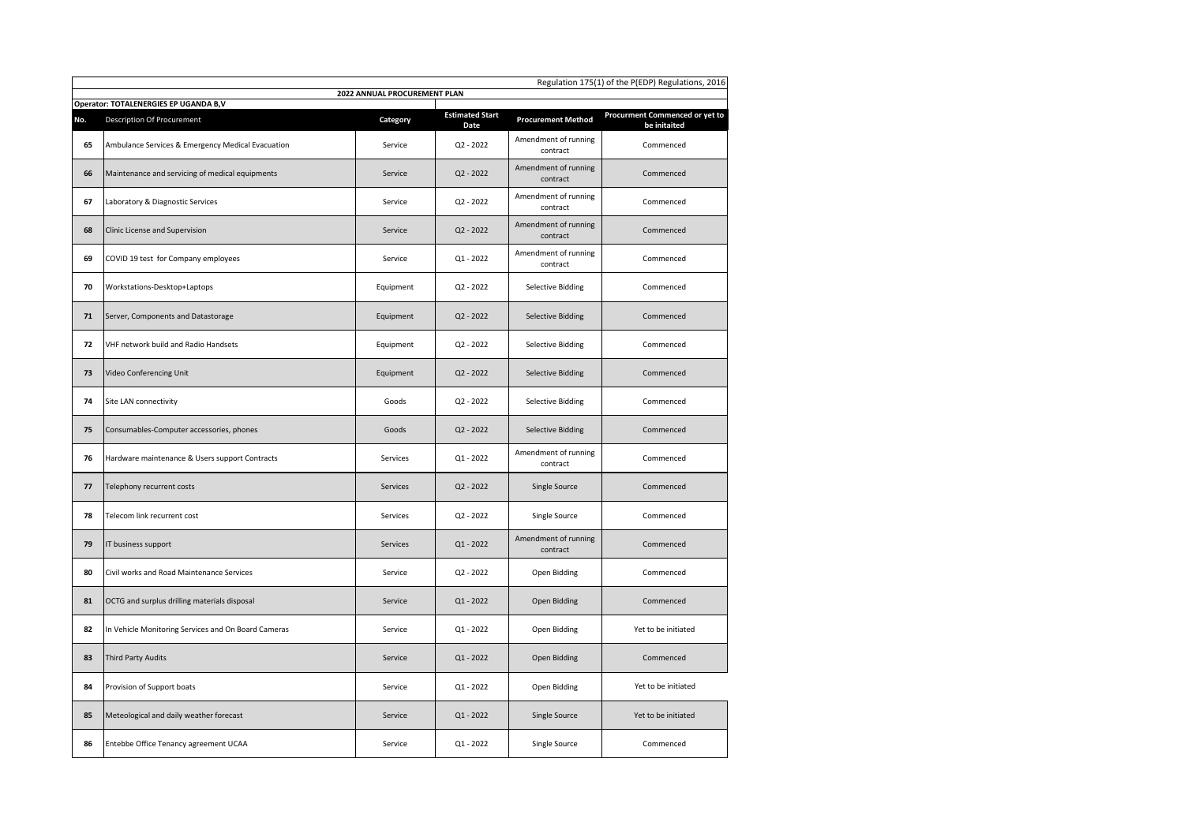|     | Regulation 175(1) of the P(EDP) Regulations, 2016                     |           |                                |                                  |                                                |  |  |  |
|-----|-----------------------------------------------------------------------|-----------|--------------------------------|----------------------------------|------------------------------------------------|--|--|--|
|     | 2022 ANNUAL PROCUREMENT PLAN<br>Operator: TOTALENERGIES EP UGANDA B,V |           |                                |                                  |                                                |  |  |  |
| No. | <b>Description Of Procurement</b>                                     | Category  | <b>Estimated Start</b><br>Date | <b>Procurement Method</b>        | Procurment Commenced or yet to<br>be initaited |  |  |  |
| 65  | Ambulance Services & Emergency Medical Evacuation                     | Service   | $Q2 - 2022$                    | Amendment of running<br>contract | Commenced                                      |  |  |  |
| 66  | Maintenance and servicing of medical equipments                       | Service   | $Q2 - 2022$                    | Amendment of running<br>contract | Commenced                                      |  |  |  |
| 67  | Laboratory & Diagnostic Services                                      | Service   | $Q2 - 2022$                    | Amendment of running<br>contract | Commenced                                      |  |  |  |
| 68  | Clinic License and Supervision                                        | Service   | $Q2 - 2022$                    | Amendment of running<br>contract | Commenced                                      |  |  |  |
| 69  | COVID 19 test for Company employees                                   | Service   | $Q1 - 2022$                    | Amendment of running<br>contract | Commenced                                      |  |  |  |
| 70  | Workstations-Desktop+Laptops                                          | Equipment | Q2 - 2022                      | <b>Selective Bidding</b>         | Commenced                                      |  |  |  |
| 71  | Server, Components and Datastorage                                    | Equipment | $Q2 - 2022$                    | <b>Selective Bidding</b>         | Commenced                                      |  |  |  |
| 72  | VHF network build and Radio Handsets                                  | Equipment | $Q2 - 2022$                    | <b>Selective Bidding</b>         | Commenced                                      |  |  |  |
| 73  | Video Conferencing Unit                                               | Equipment | $Q2 - 2022$                    | <b>Selective Bidding</b>         | Commenced                                      |  |  |  |
| 74  | Site LAN connectivity                                                 | Goods     | $Q2 - 2022$                    | <b>Selective Bidding</b>         | Commenced                                      |  |  |  |
| 75  | Consumables-Computer accessories, phones                              | Goods     | $Q2 - 2022$                    | <b>Selective Bidding</b>         | Commenced                                      |  |  |  |
| 76  | Hardware maintenance & Users support Contracts                        | Services  | $Q1 - 2022$                    | Amendment of running<br>contract | Commenced                                      |  |  |  |
| 77  | Telephony recurrent costs                                             | Services  | $Q2 - 2022$                    | Single Source                    | Commenced                                      |  |  |  |
| 78  | Telecom link recurrent cost                                           | Services  | $Q2 - 2022$                    | Single Source                    | Commenced                                      |  |  |  |
| 79  | IT business support                                                   | Services  | $Q1 - 2022$                    | Amendment of running<br>contract | Commenced                                      |  |  |  |
| 80  | Civil works and Road Maintenance Services                             | Service   | Q2 - 2022                      | Open Bidding                     | Commenced                                      |  |  |  |
| 81  | OCTG and surplus drilling materials disposal                          | Service   | $Q1 - 2022$                    | Open Bidding                     | Commenced                                      |  |  |  |
| 82  | In Vehicle Monitoring Services and On Board Cameras                   | Service   | $Q1 - 2022$                    | Open Bidding                     | Yet to be initiated                            |  |  |  |
| 83  | <b>Third Party Audits</b>                                             | Service   | $Q1 - 2022$                    | Open Bidding                     | Commenced                                      |  |  |  |
| 84  | Provision of Support boats                                            | Service   | $Q1 - 2022$                    | Open Bidding                     | Yet to be initiated                            |  |  |  |
| 85  | Meteological and daily weather forecast                               | Service   | Q1 - 2022                      | Single Source                    | Yet to be initiated                            |  |  |  |
| 86  | Entebbe Office Tenancy agreement UCAA                                 | Service   | $Q1 - 2022$                    | Single Source                    | Commenced                                      |  |  |  |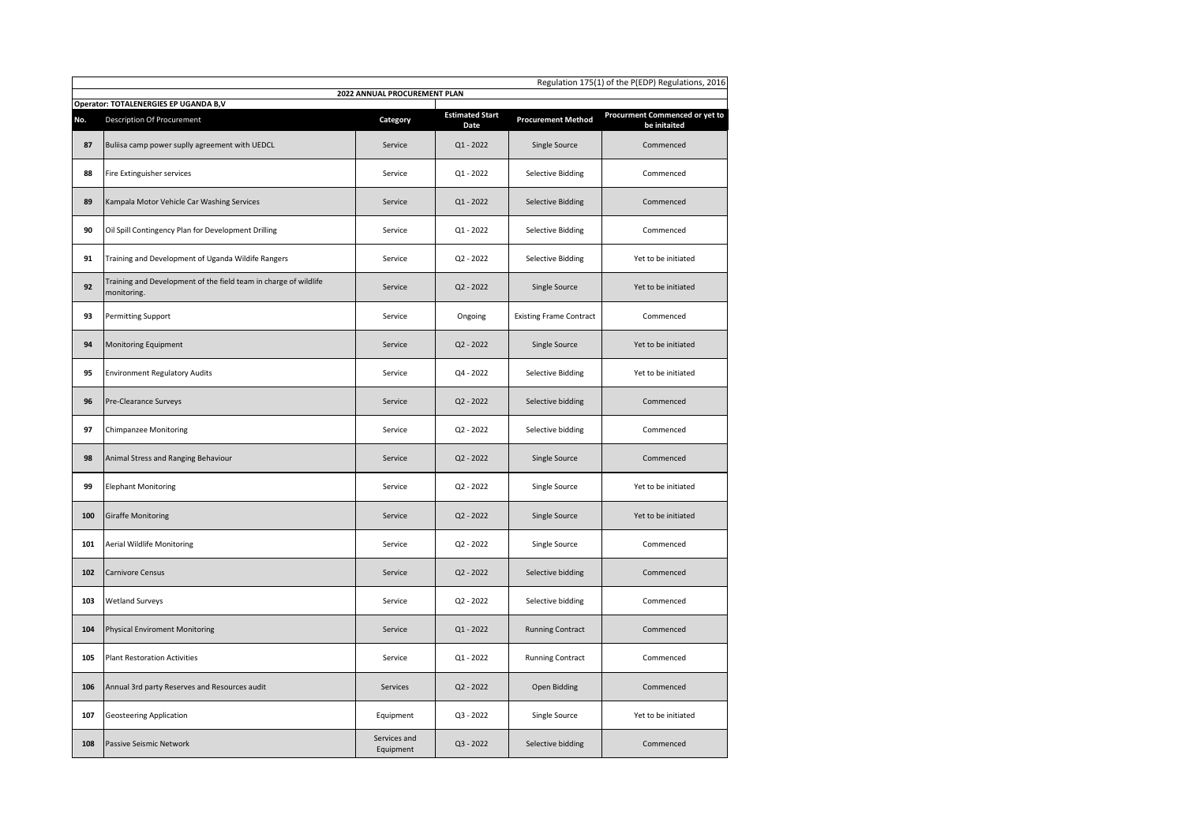| Regulation 175(1) of the P(EDP) Regulations, 2016 |                                                                                 |                              |                                |                                |                                                |  |  |
|---------------------------------------------------|---------------------------------------------------------------------------------|------------------------------|--------------------------------|--------------------------------|------------------------------------------------|--|--|
|                                                   | Operator: TOTALENERGIES EP UGANDA B,V                                           | 2022 ANNUAL PROCUREMENT PLAN |                                |                                |                                                |  |  |
| No.                                               | Description Of Procurement                                                      | Category                     | <b>Estimated Start</b><br>Date | <b>Procurement Method</b>      | Procurment Commenced or yet to<br>be initaited |  |  |
| 87                                                | Buliisa camp power suplly agreement with UEDCL                                  | Service                      | $Q1 - 2022$                    | Single Source                  | Commenced                                      |  |  |
| 88                                                | Fire Extinguisher services                                                      | Service                      | Q1 - 2022                      | <b>Selective Bidding</b>       | Commenced                                      |  |  |
| 89                                                | Kampala Motor Vehicle Car Washing Services                                      | Service                      | $Q1 - 2022$                    | <b>Selective Bidding</b>       | Commenced                                      |  |  |
| 90                                                | Oil Spill Contingency Plan for Development Drilling                             | Service                      | Q1 - 2022                      | <b>Selective Bidding</b>       | Commenced                                      |  |  |
| 91                                                | Training and Development of Uganda Wildife Rangers                              | Service                      | Q2 - 2022                      | <b>Selective Bidding</b>       | Yet to be initiated                            |  |  |
| 92                                                | Training and Development of the field team in charge of wildlife<br>monitoring. | Service                      | $Q2 - 2022$                    | Single Source                  | Yet to be initiated                            |  |  |
| 93                                                | Permitting Support                                                              | Service                      | Ongoing                        | <b>Existing Frame Contract</b> | Commenced                                      |  |  |
| 94                                                | Monitoring Equipment                                                            | Service                      | Q2 - 2022                      | Single Source                  | Yet to be initiated                            |  |  |
| 95                                                | <b>Environment Regulatory Audits</b>                                            | Service                      | $Q4 - 2022$                    | <b>Selective Bidding</b>       | Yet to be initiated                            |  |  |
| 96                                                | Pre-Clearance Surveys                                                           | Service                      | $Q2 - 2022$                    | Selective bidding              | Commenced                                      |  |  |
| 97                                                | <b>Chimpanzee Monitoring</b>                                                    | Service                      | Q2 - 2022                      | Selective bidding              | Commenced                                      |  |  |
| 98                                                | Animal Stress and Ranging Behaviour                                             | Service                      | $Q2 - 2022$                    | Single Source                  | Commenced                                      |  |  |
| 99                                                | <b>Elephant Monitoring</b>                                                      | Service                      | $Q2 - 2022$                    | Single Source                  | Yet to be initiated                            |  |  |
| 100                                               | <b>Giraffe Monitoring</b>                                                       | Service                      | $Q2 - 2022$                    | Single Source                  | Yet to be initiated                            |  |  |
| 101                                               | <b>Aerial Wildlife Monitoring</b>                                               | Service                      | Q2 - 2022                      | Single Source                  | Commenced                                      |  |  |
| 102                                               | <b>Carnivore Census</b>                                                         | Service                      | $Q2 - 2022$                    | Selective bidding              | Commenced                                      |  |  |
| 103                                               | <b>Wetland Surveys</b>                                                          | Service                      | Q2 - 2022                      | Selective bidding              | Commenced                                      |  |  |
| 104                                               | <b>Physical Enviroment Monitoring</b>                                           | Service                      | Q1 - 2022                      | <b>Running Contract</b>        | Commenced                                      |  |  |
| 105                                               | <b>Plant Restoration Activities</b>                                             | Service                      | $Q1 - 2022$                    | <b>Running Contract</b>        | Commenced                                      |  |  |
| 106                                               | Annual 3rd party Reserves and Resources audit                                   | Services                     | Q2 - 2022                      | Open Bidding                   | Commenced                                      |  |  |
| 107                                               | <b>Geosteering Application</b>                                                  | Equipment                    | Q3 - 2022                      | Single Source                  | Yet to be initiated                            |  |  |
| 108                                               | Passive Seismic Network                                                         | Services and<br>Equipment    | $Q3 - 2022$                    | Selective bidding              | Commenced                                      |  |  |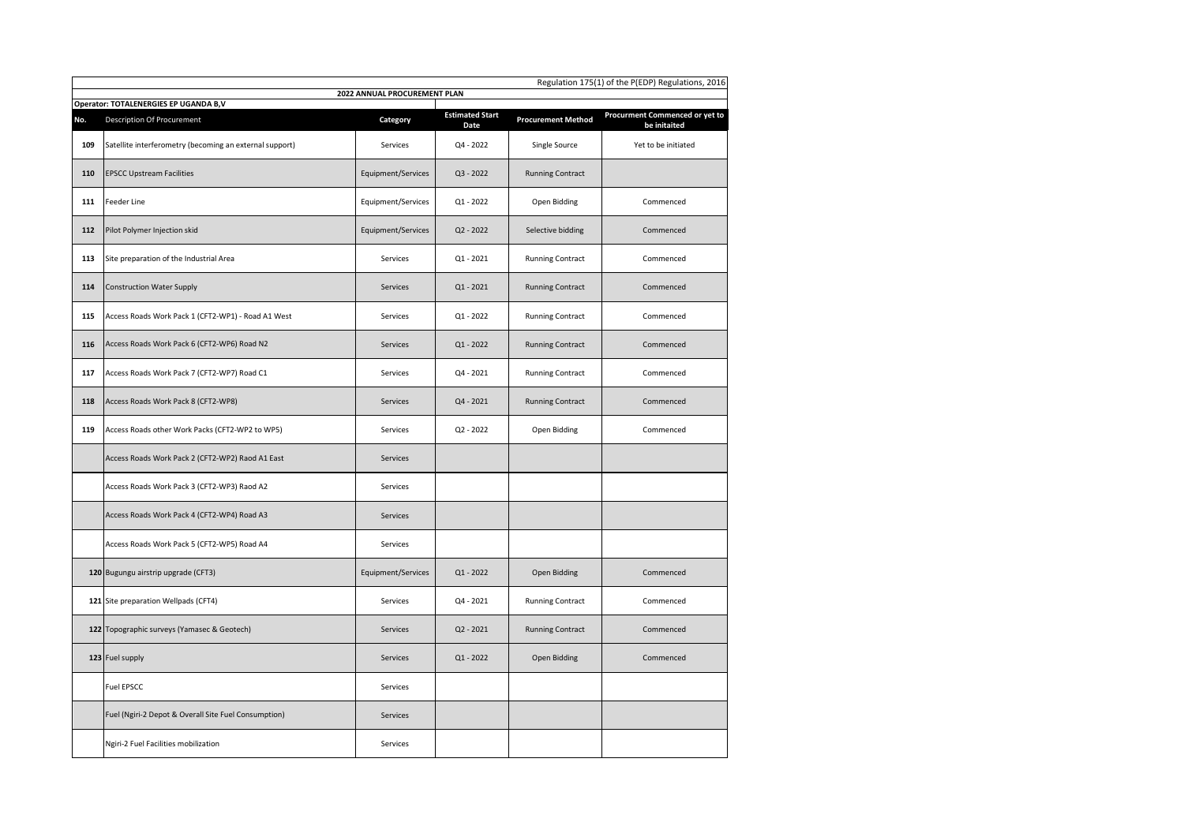|     | Regulation 175(1) of the P(EDP) Regulations, 2016                     |                    |                                |                           |                                                |  |  |  |
|-----|-----------------------------------------------------------------------|--------------------|--------------------------------|---------------------------|------------------------------------------------|--|--|--|
|     | 2022 ANNUAL PROCUREMENT PLAN<br>Operator: TOTALENERGIES EP UGANDA B,V |                    |                                |                           |                                                |  |  |  |
| No. | <b>Description Of Procurement</b>                                     | Category           | <b>Estimated Start</b><br>Date | <b>Procurement Method</b> | Procurment Commenced or yet to<br>be initaited |  |  |  |
| 109 | Satellite interferometry (becoming an external support)               | Services           | Q4 - 2022                      | Single Source             | Yet to be initiated                            |  |  |  |
| 110 | <b>EPSCC Upstream Facilities</b>                                      | Equipment/Services | Q3 - 2022                      | <b>Running Contract</b>   |                                                |  |  |  |
| 111 | Feeder Line                                                           | Equipment/Services | $Q1 - 2022$                    | Open Bidding              | Commenced                                      |  |  |  |
| 112 | Pilot Polymer Injection skid                                          | Equipment/Services | $Q2 - 2022$                    | Selective bidding         | Commenced                                      |  |  |  |
| 113 | Site preparation of the Industrial Area                               | Services           | $Q1 - 2021$                    | <b>Running Contract</b>   | Commenced                                      |  |  |  |
| 114 | <b>Construction Water Supply</b>                                      | <b>Services</b>    | $Q1 - 2021$                    | <b>Running Contract</b>   | Commenced                                      |  |  |  |
| 115 | Access Roads Work Pack 1 (CFT2-WP1) - Road A1 West                    | Services           | $Q1 - 2022$                    | <b>Running Contract</b>   | Commenced                                      |  |  |  |
| 116 | Access Roads Work Pack 6 (CFT2-WP6) Road N2                           | Services           | $Q1 - 2022$                    | <b>Running Contract</b>   | Commenced                                      |  |  |  |
| 117 | Access Roads Work Pack 7 (CFT2-WP7) Road C1                           | Services           | Q4 - 2021                      | <b>Running Contract</b>   | Commenced                                      |  |  |  |
| 118 | Access Roads Work Pack 8 (CFT2-WP8)                                   | Services           | Q4 - 2021                      | <b>Running Contract</b>   | Commenced                                      |  |  |  |
| 119 | Access Roads other Work Packs (CFT2-WP2 to WP5)                       | Services           | $Q2 - 2022$                    | Open Bidding              | Commenced                                      |  |  |  |
|     | Access Roads Work Pack 2 (CFT2-WP2) Raod A1 East                      | Services           |                                |                           |                                                |  |  |  |
|     | Access Roads Work Pack 3 (CFT2-WP3) Raod A2                           | Services           |                                |                           |                                                |  |  |  |
|     | Access Roads Work Pack 4 (CFT2-WP4) Road A3                           | Services           |                                |                           |                                                |  |  |  |
|     | Access Roads Work Pack 5 (CFT2-WP5) Road A4                           | Services           |                                |                           |                                                |  |  |  |
|     | 120 Bugungu airstrip upgrade (CFT3)                                   | Equipment/Services | Q1 - 2022                      | Open Bidding              | Commenced                                      |  |  |  |
|     | 121 Site preparation Wellpads (CFT4)                                  | Services           | Q4 - 2021                      | <b>Running Contract</b>   | Commenced                                      |  |  |  |
|     | 122 Topographic surveys (Yamasec & Geotech)                           | Services           | $Q2 - 2021$                    | <b>Running Contract</b>   | Commenced                                      |  |  |  |
|     | 123 Fuel supply                                                       | Services           | $Q1 - 2022$                    | Open Bidding              | Commenced                                      |  |  |  |
|     | <b>Fuel EPSCC</b>                                                     | Services           |                                |                           |                                                |  |  |  |
|     | Fuel (Ngiri-2 Depot & Overall Site Fuel Consumption)                  | Services           |                                |                           |                                                |  |  |  |
|     | Ngiri-2 Fuel Facilities mobilization                                  | Services           |                                |                           |                                                |  |  |  |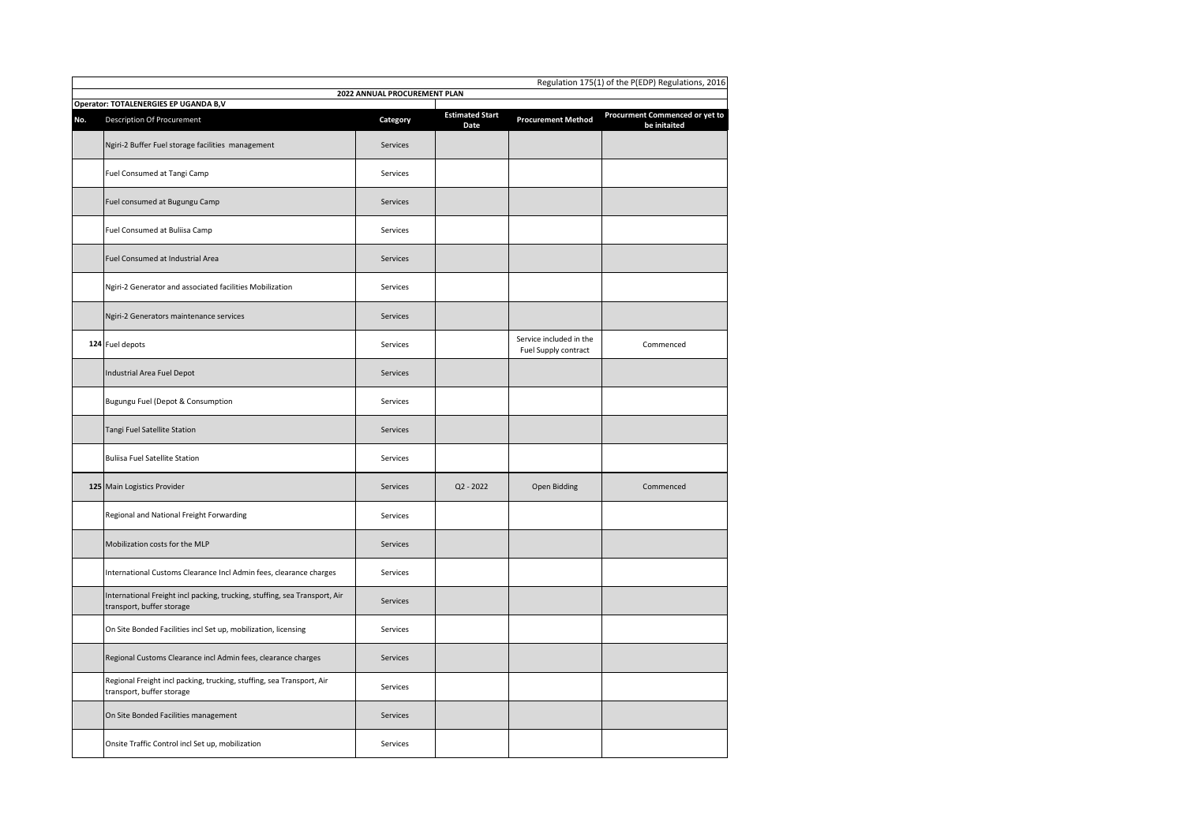|     | Regulation 175(1) of the P(EDP) Regulations, 2016                                                       |                              |                                |                                                 |                                                |  |
|-----|---------------------------------------------------------------------------------------------------------|------------------------------|--------------------------------|-------------------------------------------------|------------------------------------------------|--|
|     | Operator: TOTALENERGIES EP UGANDA B,V                                                                   | 2022 ANNUAL PROCUREMENT PLAN |                                |                                                 |                                                |  |
| No. | <b>Description Of Procurement</b>                                                                       | Category                     | <b>Estimated Start</b><br>Date | <b>Procurement Method</b>                       | Procurment Commenced or yet to<br>be initaited |  |
|     | Ngiri-2 Buffer Fuel storage facilities management                                                       | Services                     |                                |                                                 |                                                |  |
|     | Fuel Consumed at Tangi Camp                                                                             | Services                     |                                |                                                 |                                                |  |
|     | Fuel consumed at Bugungu Camp                                                                           | Services                     |                                |                                                 |                                                |  |
|     | Fuel Consumed at Buliisa Camp                                                                           | Services                     |                                |                                                 |                                                |  |
|     | Fuel Consumed at Industrial Area                                                                        | Services                     |                                |                                                 |                                                |  |
|     | Ngiri-2 Generator and associated facilities Mobilization                                                | Services                     |                                |                                                 |                                                |  |
|     | Ngiri-2 Generators maintenance services                                                                 | Services                     |                                |                                                 |                                                |  |
|     | 124 Fuel depots                                                                                         | Services                     |                                | Service included in the<br>Fuel Supply contract | Commenced                                      |  |
|     | Industrial Area Fuel Depot                                                                              | Services                     |                                |                                                 |                                                |  |
|     | Bugungu Fuel (Depot & Consumption                                                                       | Services                     |                                |                                                 |                                                |  |
|     | Tangi Fuel Satellite Station                                                                            | Services                     |                                |                                                 |                                                |  |
|     | <b>Buliisa Fuel Satellite Station</b>                                                                   | Services                     |                                |                                                 |                                                |  |
|     | 125 Main Logistics Provider                                                                             | Services                     | Q2 - 2022                      | Open Bidding                                    | Commenced                                      |  |
|     | Regional and National Freight Forwarding                                                                | Services                     |                                |                                                 |                                                |  |
|     | Mobilization costs for the MLP                                                                          | Services                     |                                |                                                 |                                                |  |
|     | International Customs Clearance Incl Admin fees, clearance charges                                      | Services                     |                                |                                                 |                                                |  |
|     | International Freight incl packing, trucking, stuffing, sea Transport, Air<br>transport, buffer storage | Services                     |                                |                                                 |                                                |  |
|     | On Site Bonded Facilities incl Set up, mobilization, licensing                                          | Services                     |                                |                                                 |                                                |  |
|     | Regional Customs Clearance incl Admin fees, clearance charges                                           | Services                     |                                |                                                 |                                                |  |
|     | Regional Freight incl packing, trucking, stuffing, sea Transport, Air<br>transport, buffer storage      | Services                     |                                |                                                 |                                                |  |
|     | On Site Bonded Facilities management                                                                    | Services                     |                                |                                                 |                                                |  |
|     | Onsite Traffic Control incl Set up, mobilization                                                        | Services                     |                                |                                                 |                                                |  |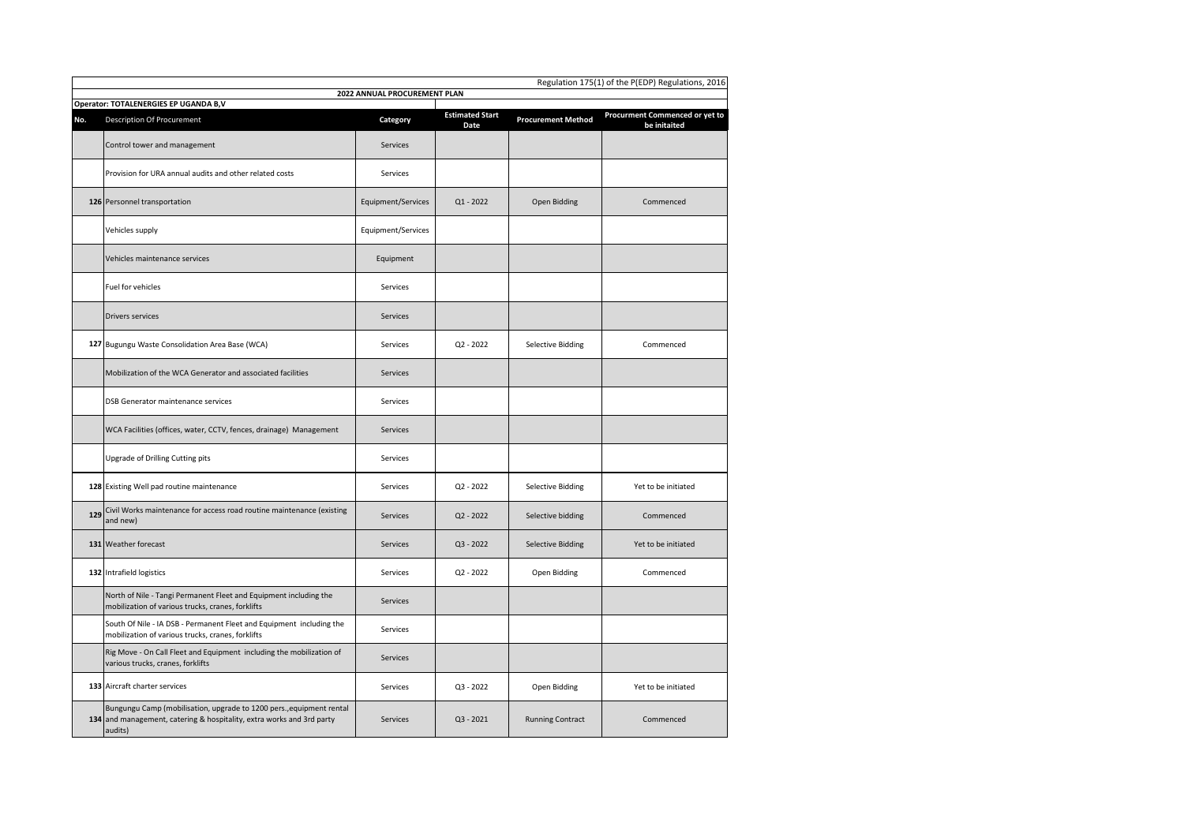|     | Regulation 175(1) of the P(EDP) Regulations, 2016<br>2022 ANNUAL PROCUREMENT PLAN                                                                        |                    |                                |                           |                                                |  |  |
|-----|----------------------------------------------------------------------------------------------------------------------------------------------------------|--------------------|--------------------------------|---------------------------|------------------------------------------------|--|--|
|     | Operator: TOTALENERGIES EP UGANDA B,V                                                                                                                    |                    |                                |                           |                                                |  |  |
| No. | <b>Description Of Procurement</b>                                                                                                                        | Category           | <b>Estimated Start</b><br>Date | <b>Procurement Method</b> | Procurment Commenced or yet to<br>be initaited |  |  |
|     | Control tower and management                                                                                                                             | <b>Services</b>    |                                |                           |                                                |  |  |
|     | Provision for URA annual audits and other related costs                                                                                                  | Services           |                                |                           |                                                |  |  |
|     | 126 Personnel transportation                                                                                                                             | Equipment/Services | $Q1 - 2022$                    | Open Bidding              | Commenced                                      |  |  |
|     | Vehicles supply                                                                                                                                          | Equipment/Services |                                |                           |                                                |  |  |
|     | Vehicles maintenance services                                                                                                                            | Equipment          |                                |                           |                                                |  |  |
|     | Fuel for vehicles                                                                                                                                        | Services           |                                |                           |                                                |  |  |
|     | <b>Drivers services</b>                                                                                                                                  | <b>Services</b>    |                                |                           |                                                |  |  |
|     | 127 Bugungu Waste Consolidation Area Base (WCA)                                                                                                          | Services           | $Q2 - 2022$                    | <b>Selective Bidding</b>  | Commenced                                      |  |  |
|     | Mobilization of the WCA Generator and associated facilities                                                                                              | Services           |                                |                           |                                                |  |  |
|     | DSB Generator maintenance services                                                                                                                       | Services           |                                |                           |                                                |  |  |
|     | WCA Facilities (offices, water, CCTV, fences, drainage) Management                                                                                       | Services           |                                |                           |                                                |  |  |
|     | Upgrade of Drilling Cutting pits                                                                                                                         | Services           |                                |                           |                                                |  |  |
|     | 128 Existing Well pad routine maintenance                                                                                                                | Services           | $Q2 - 2022$                    | <b>Selective Bidding</b>  | Yet to be initiated                            |  |  |
| 129 | Civil Works maintenance for access road routine maintenance (existing<br>and new)                                                                        | Services           | $Q2 - 2022$                    | Selective bidding         | Commenced                                      |  |  |
|     | 131 Weather forecast                                                                                                                                     | Services           | $Q3 - 2022$                    | <b>Selective Bidding</b>  | Yet to be initiated                            |  |  |
|     | 132 Intrafield logistics                                                                                                                                 | Services           | $Q2 - 2022$                    | Open Bidding              | Commenced                                      |  |  |
|     | North of Nile - Tangi Permanent Fleet and Equipment including the<br>mobilization of various trucks, cranes, forklifts                                   | Services           |                                |                           |                                                |  |  |
|     | South Of Nile - IA DSB - Permanent Fleet and Equipment including the<br>mobilization of various trucks, cranes, forklifts                                | Services           |                                |                           |                                                |  |  |
|     | Rig Move - On Call Fleet and Equipment including the mobilization of<br>various trucks, cranes, forklifts                                                | Services           |                                |                           |                                                |  |  |
|     | 133 Aircraft charter services                                                                                                                            | Services           | $Q3 - 2022$                    | Open Bidding              | Yet to be initiated                            |  |  |
|     | Bungungu Camp (mobilisation, upgrade to 1200 pers., equipment rental<br>134 and management, catering & hospitality, extra works and 3rd party<br>audits) | Services           | $Q3 - 2021$                    | <b>Running Contract</b>   | Commenced                                      |  |  |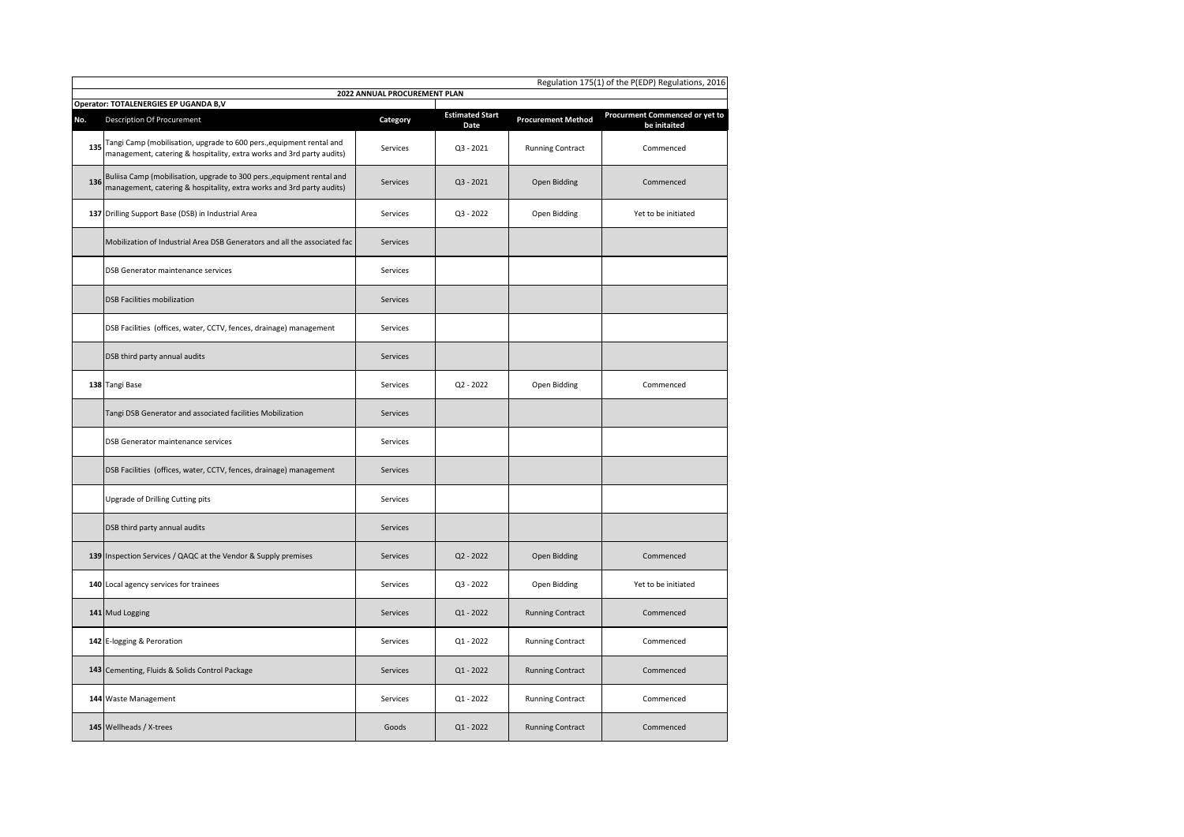|     | Regulation 175(1) of the P(EDP) Regulations, 2016<br>2022 ANNUAL PROCUREMENT PLAN                                                               |                 |                                |                           |                                                |  |  |  |
|-----|-------------------------------------------------------------------------------------------------------------------------------------------------|-----------------|--------------------------------|---------------------------|------------------------------------------------|--|--|--|
|     | Operator: TOTALENERGIES EP UGANDA B,V                                                                                                           |                 |                                |                           |                                                |  |  |  |
| No. | <b>Description Of Procurement</b>                                                                                                               | Category        | <b>Estimated Start</b><br>Date | <b>Procurement Method</b> | Procurment Commenced or yet to<br>be initaited |  |  |  |
| 135 | Tangi Camp (mobilisation, upgrade to 600 pers., equipment rental and<br>management, catering & hospitality, extra works and 3rd party audits)   | Services        | $Q3 - 2021$                    | <b>Running Contract</b>   | Commenced                                      |  |  |  |
| 136 | Buliisa Camp (mobilisation, upgrade to 300 pers., equipment rental and<br>management, catering & hospitality, extra works and 3rd party audits) | Services        | $Q3 - 2021$                    | Open Bidding              | Commenced                                      |  |  |  |
|     | 137 Drilling Support Base (DSB) in Industrial Area                                                                                              | Services        | $Q3 - 2022$                    | Open Bidding              | Yet to be initiated                            |  |  |  |
|     | Mobilization of Industrial Area DSB Generators and all the associated fac                                                                       | <b>Services</b> |                                |                           |                                                |  |  |  |
|     | DSB Generator maintenance services                                                                                                              | Services        |                                |                           |                                                |  |  |  |
|     | <b>DSB Facilities mobilization</b>                                                                                                              | <b>Services</b> |                                |                           |                                                |  |  |  |
|     | DSB Facilities (offices, water, CCTV, fences, drainage) management                                                                              | Services        |                                |                           |                                                |  |  |  |
|     | DSB third party annual audits                                                                                                                   | <b>Services</b> |                                |                           |                                                |  |  |  |
|     | 138 Tangi Base                                                                                                                                  | Services        | $Q2 - 2022$                    | Open Bidding              | Commenced                                      |  |  |  |
|     | Tangi DSB Generator and associated facilities Mobilization                                                                                      | <b>Services</b> |                                |                           |                                                |  |  |  |
|     | DSB Generator maintenance services                                                                                                              | Services        |                                |                           |                                                |  |  |  |
|     | DSB Facilities (offices, water, CCTV, fences, drainage) management                                                                              | <b>Services</b> |                                |                           |                                                |  |  |  |
|     | Upgrade of Drilling Cutting pits                                                                                                                | Services        |                                |                           |                                                |  |  |  |
|     | DSB third party annual audits                                                                                                                   | <b>Services</b> |                                |                           |                                                |  |  |  |
|     | 139 Inspection Services / QAQC at the Vendor & Supply premises                                                                                  | <b>Services</b> | $Q2 - 2022$                    | Open Bidding              | Commenced                                      |  |  |  |
|     | 140 Local agency services for trainees                                                                                                          | Services        | $Q3 - 2022$                    | Open Bidding              | Yet to be initiated                            |  |  |  |
|     | 141 Mud Logging                                                                                                                                 | <b>Services</b> | $Q1 - 2022$                    | <b>Running Contract</b>   | Commenced                                      |  |  |  |
|     | 142 E-logging & Peroration                                                                                                                      | Services        | $Q1 - 2022$                    | <b>Running Contract</b>   | Commenced                                      |  |  |  |
|     | 143 Cementing, Fluids & Solids Control Package                                                                                                  | <b>Services</b> | $Q1 - 2022$                    | <b>Running Contract</b>   | Commenced                                      |  |  |  |
|     | 144 Waste Management                                                                                                                            | Services        | $Q1 - 2022$                    | <b>Running Contract</b>   | Commenced                                      |  |  |  |
|     | 145 Wellheads / X-trees                                                                                                                         | Goods           | $Q1 - 2022$                    | <b>Running Contract</b>   | Commenced                                      |  |  |  |